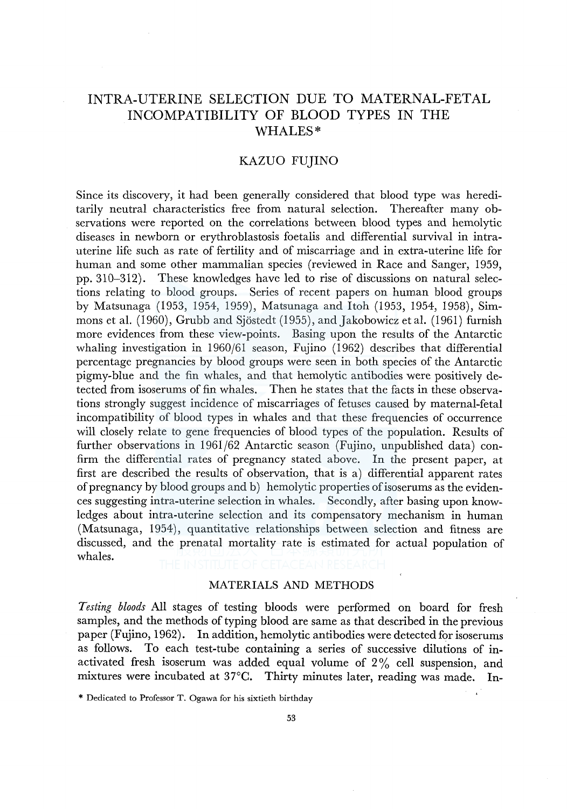# INTRA-UTERINE SELECTION DUE TO MATERNAL-FETAL INCOMPATIBILITY OF BLOOD TYPES IN THE WHALES\*

# KAZUO FUJINO

Since its discovery, it had been generally considered that blood type was hereditarily neutral characteristics free from natural selection. Thereafter many observations were reported on the correlations between blood types and hemolytic diseases in newborn or erythroblastosis foetalis and differential survival in intrauterine life such as rate of fertility and of miscarriage and in extra-uterine life for human and some other mammalian species (reviewed in Race and Sanger, 1959, pp. 310-312). These knowledges have led to rise of discussions on natural selections relating to blood groups. Series of recent papers on human blood groups by Matsunaga (1953, 1954, 1959), Matsunaga and Itoh (1953, 1954, 1958), Simmons et al. (I 960), Grubb and Sjostedt (1955), and Jakobowicz et al. (1961) furnish more evidences from these view-points. Basing upon the results of the Antarctic whaling investigation in 1960/61 season, Fujino (1962) describes that differential percentage pregnancies by blood groups were seen in both species of the Antarctic pigmy-blue and the fin whales, and that hemolytic antibodies were positively detected from isoserums of fin whales. Then he states that the facts in these observations strongly suggest incidence of miscarriages of fetuses caused by maternal-feta! incompatibility of blood types in whales and that these frequencies of occurrence will closely relate to gene frequencies of blood types of the population. Results of further observations in 1961/62 Antarctic season (Fujino, unpublished data) confirm the differential rates of pregnancy stated above. In the present paper, at first are described the results of observation, that is a) differential apparent rates of pregnancy by blood groups and b) hemolytic properties ofisoserums as the evidences suggesting intra-uterine selection in whales. Secondly, after basing upon knowledges about intra-uterine selection and its compensatory mechanism in human (Matsunaga, 1954), quantitative relationships between selection and fitness are discussed, and the prenatal mortality rate is estimated for actual population of whales.

## MATERIALS AND METHODS

*Testing bloods* All stages of testing bloods were performed on board for fresh samples, and the methods of typing blood are same as that described in the previous paper (Fujino, 1962). In addition, hemolytic antibodies were detected for isoserums as follows. To each test-tube containing a series of successive dilutions of inactivated fresh isoserum was added equal volume of  $2\%$  cell suspension, and mixtures were incubated at 37°C. Thirty minutes later, reading was made. In-

<sup>\*</sup> Dedicated to Professor T. Ogawa for his sixtieth birthday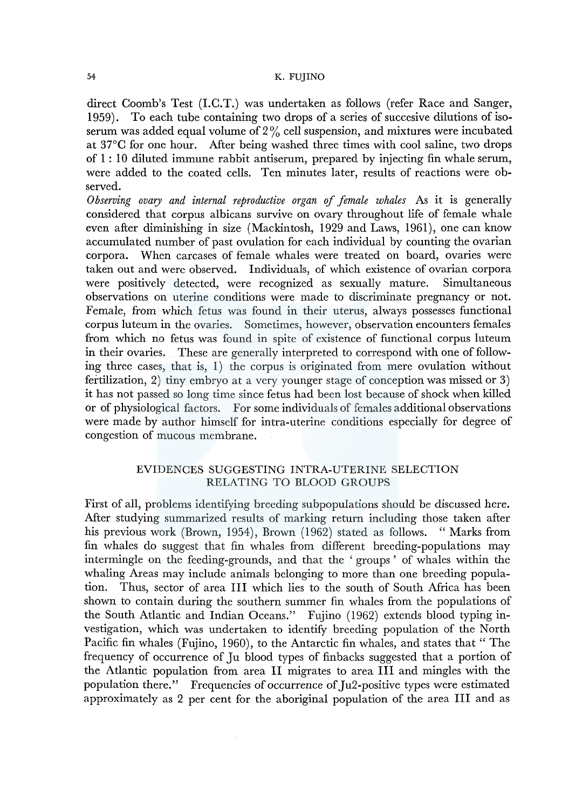direct Coomb's Test (1.C.T.) was undertaken as follows (refer Race and Sanger, 1959). To each tube containing two drops of a series of succesive dilutions of isoserum was added equal volume of  $2\%$  cell suspension, and mixtures were incubated at 37°C for one hour. After being washed three times with cool saline, two drops of 1 : 10 diluted immune rabbit antiserum, prepared by injecting fin whale serum, were added to the coated cells. Ten minutes later, results of reactions were observed.

*Observing ovary and internal reproductive organ* ef *female whales* As it is generally considered that corpus albicans survive on ovary throughout life of female whale even after diminishing in size (Mackintosh, 1929 and Laws, 1961), one can know accumulated number of past ovulation for each individual by counting the ovarian corpora. When carcases of female whales were treated on board, ovaries were taken out and were observed. Individuals, of which existence of ovarian corpora were positively detected, were recognized as sexually mature. Simultaneous observations on uterine conditions were made to discriminate pregnancy or not. Female, from which fetus was found in their uterus, always possesses functional corpus luteum in the ovaries. Sometimes, however, observation encounters females from which no fetus was found in spite of existence of functional corpus luteum in their ovaries. These are generally interpreted to correspond with one of following three cases, that is, I) the corpus is originated from mere ovulation without fertilization, 2) tiny embryo at a very younger stage of conception was missed or 3) it has not passed so long time since fetus had been lost because of shock when killed or of physiological factors. For some individuals of females additional observations were made by author himself for intra-uterine conditions especially for degree of congestion of mucous membrane.

# EVIDENCES SUGGESTING INTRA-UTERINE SELECTION RELATING TO BLOOD GROUPS

First of all, problems identifying breeding subpopulations should be discussed here. After studying summarized results of marking return including those taken after his previous work (Brown, 1954), Brown (1962) stated as follows. "Marks from fin whales do suggest that fin whales from different breeding-populations may intermingle on the feeding-grounds, and that the ' groups ' of whales within the whaling Areas may include animals belonging to more than one breeding population. Thus, sector of area III which lies to the south of South Africa has been shown to contain during the southern summer fin whales from the populations of the South Atlantic and Indian Oceans." Fujino (1962) extends blood typing investigation, which was undertaken to identify breeding population of the North Pacific fin whales (Fujino, 1960), to the Antarctic fin whales, and states that " The frequency of occurrence of Ju blood types of finbacks suggested that a portion of the Atlantic population from area II migrates to area III and mingles with the population there." Frequencies of occurrence of Ju2-positive types were estimated approximately as 2 per cent for the aboriginal population of the area III and as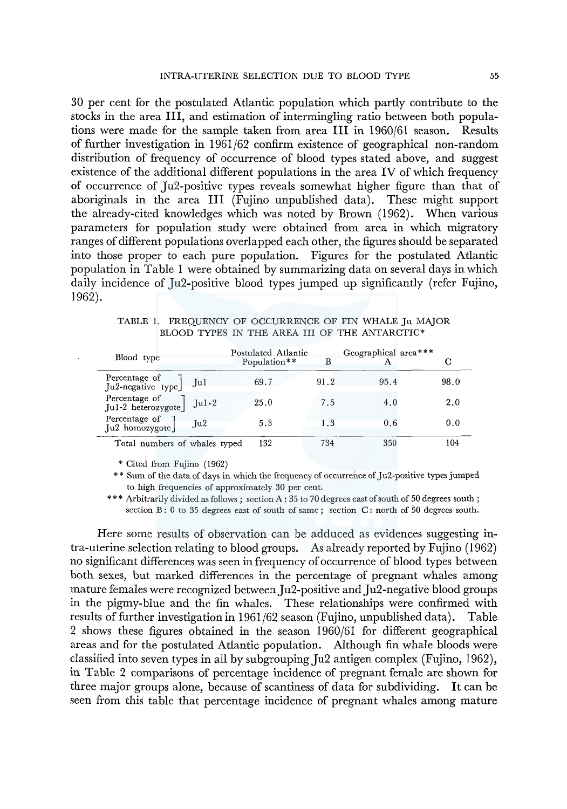30 per cent for the postulated Atlantic population which partly contribute to the stocks in the area III, and estimation of intermingling ratio between both populations were made for the sample taken from area III in 1960/61 season. Results of further investigation in 1961/62 confirm existence of geographical non-random distribution of frequency of occurrence of blood types stated above, and suggest existence of the additional different populations in the area IV of which frequency of occurrence of Ju2-positive types reveals somewhat higher figure than that of aboriginals in the area III (Fujino unpublished data). These might support the already-cited knowledges which was noted by Brown (1962). When various parameters for population study were obtained from area in which migratory ranges of different populations overlapped each other, the figures should be separated into those proper to each pure population. Figures for the postulated Atlantic population in Table 1 were obtained by summarizing data on several days in which daily incidence of Ju2-positive blood types jumped up significantly (refer Fujino, 1962).

TABLE 1. FREQUENCY OF OCCURRENCE OF FIN WHALE Ju MAJOR BLOOD TYPES IN THE AREA III OF THE ANTARCTIC\*

| Blood type                                       | Postulated Atlantic<br>Population** | в    | Geographical area*** | С    |
|--------------------------------------------------|-------------------------------------|------|----------------------|------|
| Percentage of<br>Ju2-negative type<br>$\int u_1$ | 69.7                                | 91.2 | 95.4                 | 98.0 |
| Percentage of<br>Jul-2 heterozygote]<br>Ju1.2    | 25.0                                | 7.5  | 4.0                  | 2.0  |
| Percentage of<br>Ju2<br>$Ju2$ homozygote         | 5.3                                 | 1.3  | 0.6                  | 0.0  |
| Total numbers of whales typed                    | 132                                 | 734  | 350                  | 104  |

\* Cited from Fujino (1962)

\* \* Sum of the data of days in which the frequency of occurrence of Ju2-positive types jumped to high frequencies of approximately 30 per cent.

\*\*\* Arbitrarily divided as follows ; section A : 35 to 70 degrees east of south of 50 degrees south ; section B: 0 to 35 degrees east of south of same; section C: north of 50 degrees south.

Here some results of observation can be adduced as evidences suggesting intra-uterine selection relating to blood groups. As already reported by Fujino (1962) no significant differences was seen in frequency of occurrence of blood types between both sexes, but marked differences in the percentage of pregnant whales among mature females were recognized between Ju2-positive and Ju2-negative blood groups in the pigmy-blue and the fin whales. These relationships were confirmed with results of further investigationin 1961/62 season (Fujino, unpublished data). Table 2 shows these figures obtained in the season 1960/61 for different geographical areas and for the postulated Atlantic population. Although fin whale bloods were classified into seven types in all by subgrouping Ju2 antigen complex (Fujino, 1962), in Table 2 comparisons of percentage incidence of pregnant female are shown for three major groups alone, because of scantiness of data for subdividing. It can be seen from this table that percentage incidence of pregnant whales among mature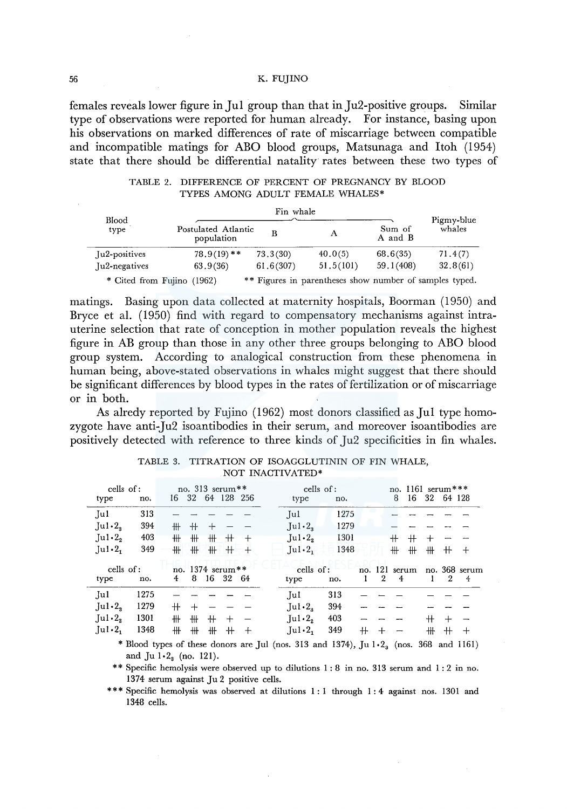females reveals lower figure in **Jul** group than that in Ju2-positive groups. Similar type of observations were reported for human already. For instance, basing upon his observations on marked differences of rate of miscarriage between compatible and incompatible matings for ABO blood groups, Matsunaga and Itoh (1954) state that there should be differential natality rates between these two types of

| TABLE 2. DIFFERENCE OF PERCENT OF PREGNANCY BY BLOOD |
|------------------------------------------------------|
| TYPES AMONG ADULT FEMALE WHALES*                     |

| Blood<br>type              |                                   |           |                                                         |                   |                      |
|----------------------------|-----------------------------------|-----------|---------------------------------------------------------|-------------------|----------------------|
|                            | Postulated Atlantic<br>population | в         | А                                                       | Sum of<br>A and B | Pigmy-blue<br>whales |
| Ju2-positives              | $78.9(19)$ **                     | 73,3(30)  | 40.0(5)                                                 | 68.6(35)          | 71.4(7)              |
| Ju2-negatives              | 63.9(36)                          | 61.6(307) | 51,5(101)                                               | 59.1(408)         | 32,8(61)             |
| * Cited from Fujino (1962) |                                   |           | ** Figures in parentheses show number of samples typed. |                   |                      |

matings. Basing upon data collected at maternity hospitals, Boorman (1950) and Bryce et al. (1950) find with regard to compensatory mechanisms against intrauterine selection that rate of conception in mother population reveals the highest figure in AB group than those in any other three groups belonging to ABO blood group system. According to analogical construction from these phenomena in human being, above-stated observations in whales might suggest that there should be significant differences by blood types in the rates of fertilization or of miscarriage or in both.

As alredy reported by Fujino (1962) most donors classified as **Jul** type homozygote have anti-Ju2 isoantibodies in their serum, and moreover isoantibodies are positively detected with reference to three kinds of Ju2 specificities in fin whales.

|                             | cells of:        |      |        |     | no. 313 serum**            |        |                                 | cells of:                                                                                     |     |                |                                 |                | no. 1161 serum*** |                    |
|-----------------------------|------------------|------|--------|-----|----------------------------|--------|---------------------------------|-----------------------------------------------------------------------------------------------|-----|----------------|---------------------------------|----------------|-------------------|--------------------|
| type                        | no.              |      |        |     | 16 32 64 128 256           |        | type                            | no.                                                                                           |     |                | 8                               | 16             | 32 64 128         |                    |
| $\mathbf{I}$ ul             | 313              |      |        |     |                            |        | $\lceil \mathrm{u} \rceil$      | 1275                                                                                          |     |                |                                 |                |                   |                    |
| Ju1.2 <sub>s</sub>          | 394              | ╫╫   | $+$    | ⊹   |                            |        | $\text{Jul·2}_3$                | 1279                                                                                          |     |                |                                 |                |                   |                    |
| Ju1.2 <sub>2</sub>          | 403              | ╫    | #      | ╫   | $^+$                       | $^{+}$ | $\lceil u \rceil \cdot 2$ ,     | 1301                                                                                          |     |                | $^+$                            | $^+$<br>$^{+}$ |                   |                    |
| Ju1.2                       | 349              | ╫    | #      | ₩   | $+$                        | 一乎。    | Ju1.2 <sub>1</sub>              | 1348                                                                                          |     |                | ╫                               | ₩<br>╫         | $^+$              | $^{+}$             |
| type                        | cells of:<br>no. | 4    | 8      | 16  | no. $1374$ serum**<br>- 32 | - 64   | cells of:<br>type               | no.                                                                                           | Ι.  | $\overline{2}$ | no. 121 serum<br>$\overline{4}$ |                | 2                 | no. 368 serum<br>4 |
| Jul                         | 1275             |      |        |     |                            |        | Jul                             | 313                                                                                           |     |                |                                 |                |                   |                    |
| Ju1.2                       | 1279             | $^+$ | $\div$ |     |                            |        | $\mathbf{u}_1 \cdot \mathbf{2}$ | 394                                                                                           |     |                |                                 |                |                   |                    |
| $\lceil ul \cdot 2, \rceil$ | 1301             | ╫    | ₩      | $+$ | $^{+}$                     |        | $\mathrm{Iul.2}_{2}$            | 403                                                                                           |     |                |                                 | $^{\rm +}$     |                   |                    |
| $\lceil \text{ul·2} \rceil$ | 1348             | ╫    | #      | ₩.  | $+$                        | $+$    | $\text{Jul·2}_1$                | 349                                                                                           | $+$ |                |                                 | ╫              | $^+$              | $^+$               |
|                             |                  |      |        |     |                            |        |                                 | * Blood types of these donors are Jul (nos. 313 and 1374), Jul $\cdot$ 2, (nos. 368 and 1161) |     |                |                                 |                |                   |                    |

TABLE 3. TITRATION OF ISOAGGLUTININ OF FIN WHALE, NOT INACTIVATED\*

and  $Ju 1·2<sub>3</sub>$  (no. 121).

\*\* Specific hemolysis were observed up to dilutions I: 8 in no. 313 serum and I: 2 in no. 1374 serum against Ju 2 positive cells.

\*\*\* Specific hemolysis was observed at dilutions 1:1 through 1:4 against nos. 1301 and 1348 cells.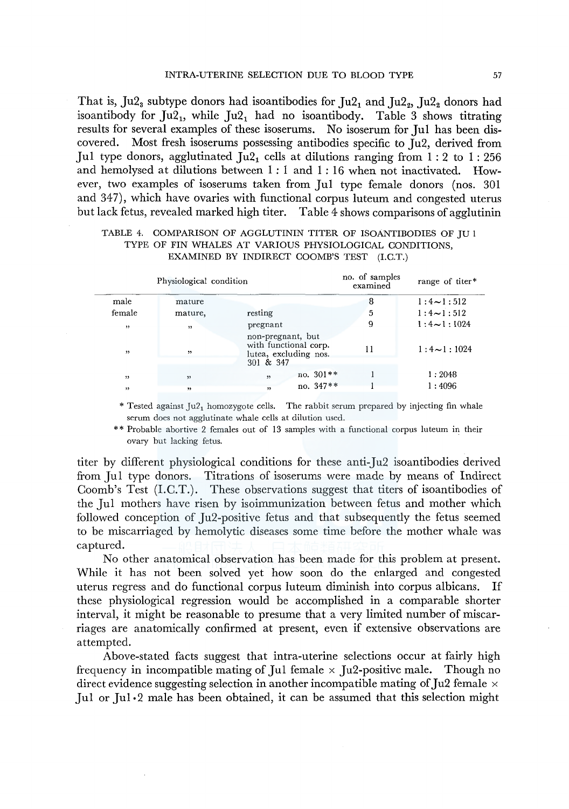That is, Ju2<sub>3</sub> subtype donors had isoantibodies for Ju2<sub>1</sub> and Ju2<sub>2</sub>, Ju2<sub>2</sub> donors had isoantibody for  $Ju2_1$ , while  $Ju2_1$  had no isoantibody. Table 3 shows titrating results for several examples of these isoserums. No isoserum for Jul has been discovered. Most fresh isoserums possessing antibodies specific to Ju2, derived from Jul type donors, agglutinated  $\lceil u_1 \rceil$  cells at dilutions ranging from 1:2 to 1:256 and hemolysed at dilutions between  $1:1$  and  $1:16$  when not inactivated. However, two examples of isoserums taken from Jul type female donors (nos. 301 and 347), which have ovaries with functional corpus luteum and congested uterus but lack fetus, revealed marked high titer. Table 4 shows comparisons of agglutinin

# TABLE 4. COMPARISON OF AGGLUTININ TITER OF ISOANTIBODIES OF JU 1 TYPE OF FIN WHALES AT VARIOUS PHYSIOLOGICAL CONDITIONS, EXAMINED BY INDIRECT COOMB'S TEST (l.C.T.)

|                         | Physiological condition | no. of samples<br>examined                                          | range of titer* |                   |
|-------------------------|-------------------------|---------------------------------------------------------------------|-----------------|-------------------|
| male                    | mature                  |                                                                     | 8               | $1:4 \sim 1:512$  |
| female                  | mature,                 | resting                                                             | 5               | $1:4 \sim 1:512$  |
| ,                       | ,                       | pregnant                                                            | 9               | $1:4 \sim 1:1024$ |
| ,                       | ,                       | non-pregnant, but<br>with functional corp.<br>lutea, excluding nos. | 11              | $1:4 \sim 1:1024$ |
|                         |                         | 301 & 347                                                           |                 |                   |
| $\overline{\mathbf{1}}$ | ,                       | no. $301**$<br>55                                                   |                 | 1:2048            |
| "                       | ,,                      | no. 347**<br>۰,                                                     |                 | 1:4096            |

\* Tested against  $Ju2_1$  homozygote cells. The rabbit serum prepared by injecting fin whale serum does not agglutinate whale cells at dilution used.

\* \* Probable abortive 2 females out of 13 samples with a functional corpus luteum in their ovary but lacking fetus.

titer by different physiological conditions for these anti-Ju2 isoantibodies derived from Jui type donors. Titrations of isoserums were made by means of Indirect Coomb's Test (I.C.T.). These observations suggest that titers of isoantibodies of the Jui mothers have risen by isoimmunization between fetus and mother which followed conception of Ju2-positive fetus and that subsequently the fetus seemed to be miscarriaged by hemolytic diseases some time before the mother whale was captured.

No other anatomical observation has been made for this problem at present. While it has not been solved yet how soon do the enlarged and congested uterus regress and do functional corpus luteum diminish into corpus albicans. If these physiological regression would be accomplished in a comparable shorter interval, it might be reasonable to presume that a very limited number of miscarriages are anatomically confirmed at present, even if extensive observations are attempted.

Above-stated facts suggest that intra-uterine selections occur at fairly high frequency in incompatible mating of Jul female  $\times$  Ju2-positive male. Though no direct evidence suggesting selection in another incompatible mating of Ju2 female  $\times$ Jul or Jul  $\cdot$ 2 male has been obtained, it can be assumed that this selection might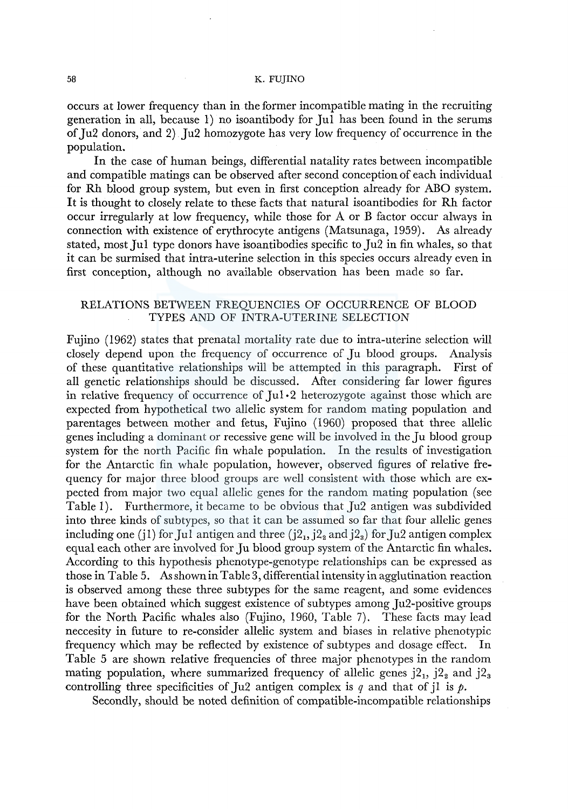occurs at lower frequency than in the former incompatible mating in the recruiting generation in all, because 1) no isoantibody for Jul has been found in the serums of Ju2 donors, and 2) Ju2 homozygote has very low frequency of occurrence in the population.

In the case of human beings, differential natality rates between incompatible and compatible matings can be observed after second conception of each individual for Rh blood group system, but even in first conception already for ABO system. It is thought to closely relate to these facts that natural isoantibodies for Rh factor occur irregularly at low frequency, while those for A or B factor occur always in connection with existence of erythrocyte antigens (Matsunaga, 1959). As already stated, most Jul type donors have isoantibodies specific to Ju2 in fin whales, so that it can be surmised that intra-uterine selection in this species occurs already even in first conception, although no available observation has been made so far.

# RELATIONS BETWEEN FREQUENCIES OF OCCURRENCE OF BLOOD TYPES AND OF INTRA-UTERINE SELECTION

Fujino (1962) states that prenatal mortality rate due to intra-uterine selection will closely depend upon the frequency of occurrence of Ju blood groups. Analysis of these quantitative relationships will be attempted in this paragraph. First of all genetic relationships should be discussed. After considering far lower figures in relative frequency of occurrence of  $\text{Ju} \cdot 2$  heterozygote against those which are expected from hypothetical two allelic system for random mating population and parentages between mother and fetus, Fujino (1960) proposed that three allelic genes including a dominant or recessive gene will be involved in the Ju blood group system for the north Pacific fin whale population. In the results of investigation for the Antarctic fin whale population, however, observed figures of relative frequency for major three blood groups are well consistent with those which are expected from major two equal allelic genes for the random mating population (see Table 1). Furthermore, it became to be obvious that Ju2 antigen was subdivided into three kinds of subtypes, so that it can be assumed so far that four allelic genes including one (j1) for Jul antigen and three ( $j2<sub>1</sub>, j2<sub>2</sub>$  and  $j2<sub>3</sub>$ ) for Ju2 antigen complex equal each other are involved for Ju blood group system of the Antarctic fin whales. According to this hypothesis phenotype-genotype relationships can be expressed as those in Table 5. As shown in Table 3, differential intensity in agglutination reaction is observed among these three subtypes for the same reagent, and some evidences have been obtained which suggest existence of subtypes among Ju2-positive groups for the North Pacific whales also (Fujino, 1960, Table 7). These facts may lead neccesity in future to re-consider allelic system and biases in relative phenotypic frequency which may be reflected by existence of subtypes and dosage effect. In Table 5 are shown relative frequencies of three major phenotypes in the random mating population, where summarized frequency of allelic genes  $j2_1$ ,  $j2_2$  and  $j2_3$ controlling three specificities of Ju2 antigen complex is  $q$  and that of jl is  $p$ .

Secondly, should be noted definition of compatible-incompatible relationships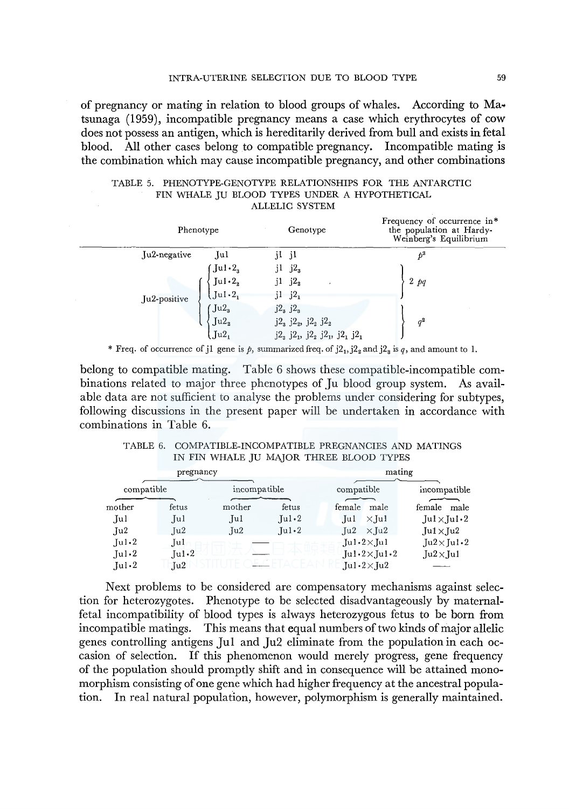of pregnancy or mating in relation to blood groups of whales. According to  $Ma$ . tsunaga (1959), incompatible pregnancy means a case which erythrocytes of cow does not possess an antigen, which is hereditarily derived from bull and exists in fetal blood. All other cases belong to compatible pregnancy. Incompatible mating is the combination which may cause incompatible pregnancy, and other combinations

| TABLE 5. PHENOTYPE-GENOTYPE RELATIONSHIPS FOR THE ANTARCTIC |  |                                               |                |  |  |  |
|-------------------------------------------------------------|--|-----------------------------------------------|----------------|--|--|--|
|                                                             |  | FIN WHALE IU BLOOD TYPES UNDER A HYPOTHETICAL |                |  |  |  |
|                                                             |  |                                               | ALLELIC SYSTEM |  |  |  |

|              | Phenotype                  | Genotype                                      | Frequency of occurrence in*<br>the population at Hardy-<br>Weinberg's Equilibrium |  |  |
|--------------|----------------------------|-----------------------------------------------|-----------------------------------------------------------------------------------|--|--|
| Ju2-negative | Jul                        | il<br>- j1                                    | $b^2$                                                                             |  |  |
|              | $\int \text{Id} \cdot 2_3$ | $j2_3$<br>11                                  |                                                                                   |  |  |
|              | Ju1.2 <sub>2</sub>         | j2 <sub>2</sub><br>j1                         | $2$ $pq$                                                                          |  |  |
| Ju2-positive | $\int \ln 1 \cdot 2$       | $j1 \t j2_1$                                  |                                                                                   |  |  |
|              | $\int \text{Ju2}_3$        | $j2_3 j2_3$                                   |                                                                                   |  |  |
|              | Ju2 <sub>2</sub>           | $j2_3 j2_2, j2_2 j2_2$                        | $q^2$                                                                             |  |  |
|              | $Ju2_1$                    | $j2_3$ $j2_1$ , $j2_2$ $j2_1$ , $j2_1$ $j2_1$ |                                                                                   |  |  |
|              |                            |                                               |                                                                                   |  |  |

\* Freq. of occurrence of j1 gene is  $\beta$ , summarized freq. of  $j2_1, j2_2$  and  $j2_3$  is  $q$ , and amount to 1.

belong to compatible mating. Table 6 shows these compatible-incompatible combinations related to major three phenotypes of Ju blood group system. As available data are not sufficient to analyse the problems under considering for subtypes, following discussions in the present paper will be undertaken in accordance with combinations in Table 6.

| TABLE 6. COMPATIBLE-INCOMPATIBLE PREGNANCIES AND MATINGS |        |  |
|----------------------------------------------------------|--------|--|
| IN FIN WHALE JU MAJOR THREE BLOOD TYPES                  |        |  |
| pregnancy                                                | mating |  |

|                        | pregnancy                 |              |                                     | mating      |                                |                          |      |
|------------------------|---------------------------|--------------|-------------------------------------|-------------|--------------------------------|--------------------------|------|
|                        |                           |              |                                     |             |                                |                          |      |
| compatible             |                           | incompatible |                                     | compatible  |                                | incompatible             |      |
|                        |                           |              |                                     |             |                                |                          |      |
| mother                 | fetus                     | mother       | fetus                               | female male |                                | female                   | male |
| Jul.                   | Jul                       | Jul          | $\lceil \mathrm{ul} \cdot 2 \rceil$ | .Jul        | $\times$ Jul                   | $Ju1 \times Ju1 \cdot 2$ |      |
| $\rm Ju2$              | $\lceil u^2 \rceil$       | Ju2          | $\text{Iul-2}$                      |             | $\lceil u^2 \times u^2 \rceil$ | $Ju1 \times Ju2$         |      |
| Ju1.2                  | Jul.                      |              |                                     |             | $Ju1.2\times Lu1$              | $Ju2\times Ju1-2$        |      |
| $\mathbf{u}$ $\cdot$ 2 | $\lceil u \cdot 2 \rceil$ |              |                                     |             | $Ju1.2\times Ju1.2$            | $Ju2\times Ju1$          |      |
| Ju·2                   | Ju2                       |              |                                     |             | $Ju1.2\times Ju2$              |                          |      |

Next problems to be considered are compensatory mechanisms against selection for heterozygotes. Phenotype to be selected disadvantageously by maternalfetal incompatibility of blood types is always heterozygous fetus to be born from incompatible matings. This means that equal numbers of two kinds of major allelic genes controlling antigens Jul and Ju2 eliminate from the population in each occasion of selection. If this phenomenon would merely progress, gene frequency of the population should promptly shift and in consequence will be attained monomorphism consisting of one gene which had higher frequency at the ancestral population. In real natural population, however, polymorphism is generally maintained.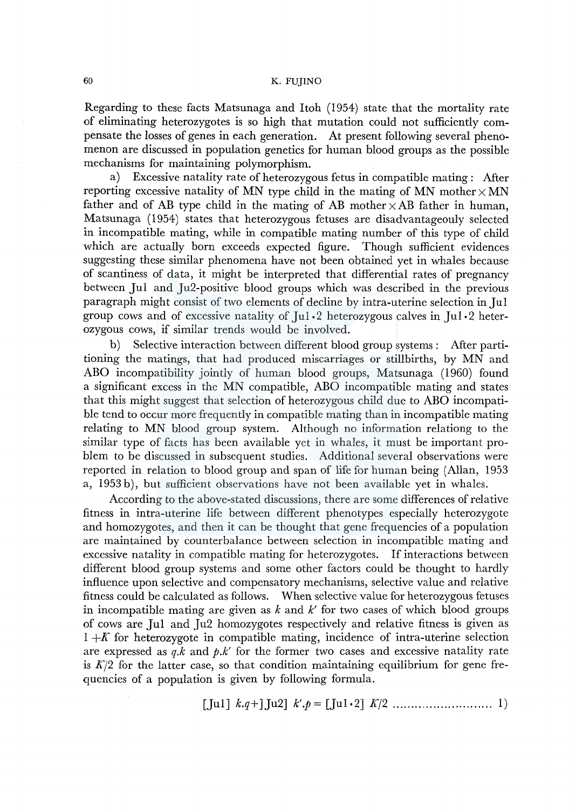Regarding to these facts Matsunaga and ltoh (1954) state that the mortality rate of eliminating heterozygotes is so high that mutation could not sufficiently compensate the losses of genes in each generation. At present following several phenomenon are discussed in population genetics for human blood groups as the possible mechanisms for maintaining polymorphism.

a) Excessive natality rate of heterozygous fetus in compatible mating: After reporting excessive natality of MN type child in the mating of MN mother  $\times$  MN father and of AB type child in the mating of AB mother  $\times$ AB father in human, Matsunaga (1954) states that heterozygous fetuses are disadvantageouly selected in incompatible mating, while in compatible mating number of this type of child which are actually born exceeds expected figure. Though sufficient evidences suggesting these similar phenomena have not been obtained yet in whales because of scantiness of data, it might be interpreted that differential rates of pregnancy between Jul and Ju2-positive blood groups which was described in the previous paragraph might consist of two elements of decline by intra-uterine selection in Jul group cows and of excessive natality of Jul ·2 heterozygous calves in Jul ·2 heterozygous cows, if similar trends would be involved.

b) Selective interaction between different blood group systems : After partitioning the matings, that had produced miscarriages or stillbirths, by MN and ABO incompatibility jointly of human blood groups, Matsunaga (1960) found a significant excess in the MN compatible, ABO incompatible mating and states that this might suggest that selection of heterozygous child due to ABO incompatible tend to occur more frequently in compatible mating than in incompatible mating relating to MN blood group system. Although no information relationg to the similar type of facts has been available yet in whales, it must be important problem to be discussed in subsequent studies. Additional several observations were reported in relation to blood group and span of life for human being (Allan, 1953 a, 1953 b), but sufficient observations have not been available yet in whales.

According to the above-stated discussions, there are some differences of relative fitness in intra-uterine life between different phenotypes especially heterozygote and homozygotes, and then it can be thought that gene frequencies of a population are maintained by counterbalance between selection in incompatible mating and excessive natality in compatible mating for heterozygotes. If interactions between different blood group systems and some other factors could be thought to hardly influence upon selective and compensatory mechanisms, selective value and relative fitness could be calculated as follows. When selective value for heterozygous fetuses in incompatible mating are given as  $k$  and  $k'$  for two cases of which blood groups of cows are Jul and Ju2 homozygotes respectively and relative fitness is given as  $1 + K$  for heterozygote in compatible mating, incidence of intra-uterine selection are expressed as *q.k* and *p.k'* for the former two cases and excessive natality rate is  $K/2$  for the latter case, so that condition maintaining equilibrium for gene frequencies of a population is given by following formula.

[Jul] 
$$
k.q+
$$
][Ju2]  $k' . p =$ [[Ju1.2]  $K/2$  ............. [1]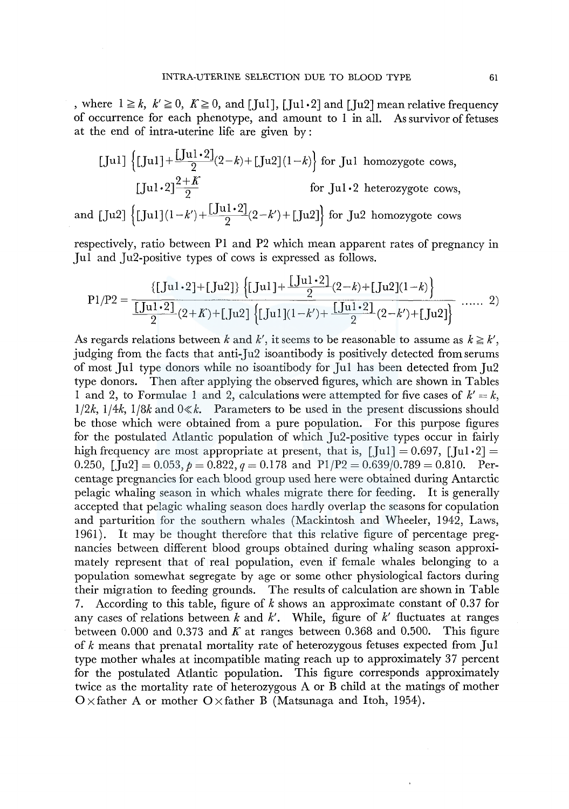, where  $1 \ge k$ ,  $k' \ge 0$ ,  $K \ge 0$ , and [Jul], [Jul · 2] and [Ju2] mean relative frequency of occurrence for each phenotype, and amount to 1 in all. As survivor of fetuses at the end of intra-uterine life are given by :

$$
\text{[Jul] } \left\{ \text{[Jul] } + \frac{\text{[Jul]} \cdot 2 \text{]} (2-k) + \text{[Ju2]} (1-k) \right\} \text{ for Jul homozygote cows,}
$$
\n
$$
\text{[Jul} \cdot 2 \text{]} \frac{2 + K}{2} \qquad \text{for Jul} \cdot 2 \text{ heterozygote cows,}
$$
\n
$$
\text{and [Ju2] } \left\{ \text{[Ju1]} (1 - k') + \frac{\text{[Ju1} \cdot 2 \text{]} (2 - k') + \text{[Ju2]} \right\} \text{for Ju2 homozygote cows}
$$

respectively, ratio between Pl and P2 which mean apparent rates of pregnancy in Jul and Ju2-positive types of cows is expressed as follows.

$$
P1/P2 = \frac{\{[Ju1 \cdot 2] + [Ju2]\} \{[Ju1] + \frac{[Ju1 \cdot 2]}{2} (2-k) + [Ju2](1-k)\}}{\frac{[Ju1 \cdot 2]}{2} (2+k) + [Ju2] \{[Ju1](1-k') + \frac{[Ju1 \cdot 2]}{2} (2-k') + [Ju2]\}} \dots \quad 2)
$$

As regards relations between k and k', it seems to be reasonable to assume as  $k \geq k'$ , judging from the facts that anti-Ju2 isoantibody is positively detected from serums of most Jul type donors while no isoantibody for Jul has been detected from Ju2 type donors. Then after applying the observed figures, which are shown in Tables 1 and 2, to Formulae 1 and 2, calculations were attempted for five cases of  $k' = k$ ,  $1/2k$ ,  $1/4k$ ,  $1/8k$  and  $0 \ll k$ . Parameters to be used in the present discussions should be those which were obtained from a pure population. For this purpose figures for the postulated Atlantic population of which Ju2-positive types occur in fairly high frequency are most appropriate at present, that is,  $\left[\text{Jul} \right] = 0.697$ ,  $\left[\text{Jul} \cdot 2\right] =$ 0.250,  $[\hat{J}u2] = 0.053$ ,  $\rho = 0.822$ ,  $q = 0.178$  and  $P1/P2 = 0.639/0.789 = 0.810$ . Percentage pregnancies for each blood group used here were obtained during Antarctic pelagic whaling season in which whales migrate there for feeding. It is generally accepted that pelagic whaling season does hardly overlap the seasons for copulation and parturition for the southern whales (Mackintosh and Wheeler, 1942, Laws, 1961). It may be thought therefore that this relative figure of percentage pregnancies between different blood groups obtained during whaling season approximately represent that of real population, even if female whales belonging to a population somewhat segregate by age or some other physiological factors during their migration to feeding grounds. The results of calculation are shown in Table 7. According to this table, figure of  $k$  shows an approximate constant of 0.37 for any cases of relations between k and k'. While, figure of k' fluctuates at ranges between 0.000 and 0.373 and *K* at ranges between 0.368 and 0.500. This figure of k means that prenatal mortality rate of heterozygous fetuses expected from Jul type mother whales at incompatible mating reach up to approximately 37 percent for the postulated Atlantic population. This figure corresponds approximately twice as the mortality rate of heterozygous A or B child at the matings of mother  $O \times$  father A or mother  $O \times$  father B (Matsunaga and Itoh, 1954).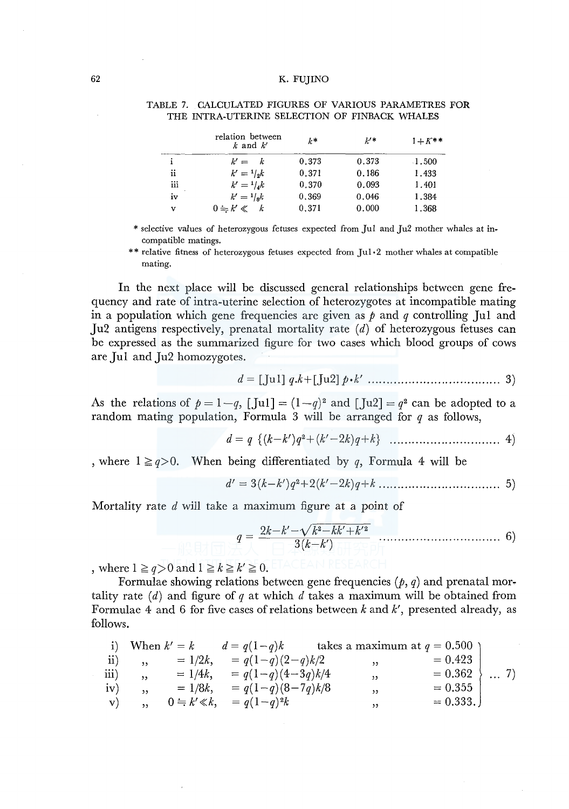|     | relation between<br>$k$ and $k'$ | $k*$  | $k'$ * | $1 + K^{**}$ |
|-----|----------------------------------|-------|--------|--------------|
| i   | $k' = k$                         | 0.373 | 0.373  | $-1.500$     |
| ii  | $k' = \frac{1}{3}k$              | 0.371 | 0.186  | 1.433        |
| iii | $k' = 1/k$                       | 0.370 | 0.093  | 1.401        |
| iv  | $k' = 1/k$                       | 0.369 | 0.046  | 1.384        |
| v   | $0 = k' \ll k$                   | 0.371 | 0.000  | 1.368        |

#### TABLE 7. CALCULATED FIGURES OF VARIOUS PARAMETRES FOR THE INTRA-UTERINE SELECTION OF FINBACK WHALES

\* selective values of heterozygous fetuses expected from Jui and Ju2 mother whales at incompatible matings.

\*\* relative fitness of heterozygous fetuses expected from  $\lceil u \rceil \cdot 2$  mother whales at compatible mating.

In the next place will be discussed general relationships between gene frequency and rate of intra-uterine selection of heterozygotes at incompatible mating in a population which gene frequencies are given as  $\beta$  and  $\beta$  controlling Jul and Ju2 antigens respectively, prenatal mortality rate (d) of heterozygous fetuses can be expressed as the summarized figure for two cases which blood groups of cows are Jul and Ju2 homozygotes.

$$
d = [(\text{Jul}] q.k + [\text{Jul}] p \cdot k' \dots \dots \dots \dots \dots \dots \dots \dots \dots \dots \dots 3)
$$

As the relations of  $p = 1-q$ , [Jul] =  $(1-q)^2$  and [Ju2] =  $q^2$  can be adopted to a random mating population, Formula 3 will be arranged for *q* as follows,

*d= q {(k-k')q2+(k'-2k)q+k}* .............................. 4)

, where  $1 \geq q>0$ . When being differentiated by q, Formula 4 will be

$$
d' = 3(k-k')q^{2} + 2(k'-2k)q + k \dots \dots \dots \dots \dots \dots \dots \dots \dots \dots 5)
$$

Mortality rate *d* will take a maximum figure at a point of

$$
q = \frac{2k - k' - \sqrt{k^2 - kk' + k'^2}}{3(k - k')}
$$
................. 6)

, where  $1 \geq q>0$  and  $1 \geq k \geq k' \geq 0$ .

Formulae showing relations between gene frequencies  $(p, q)$  and prenatal mortality rate  $(d)$  and figure of  $q$  at which  $d$  takes a maximum will be obtained from Formulae 4 and 6 for five cases of relations between *k* and *k',* presented already, as follows.

|                         |                          |                                     | i) When $k' = k$ $d = q(1-q)k$ takes a maximum at $q = 0.500$ |            |         |
|-------------------------|--------------------------|-------------------------------------|---------------------------------------------------------------|------------|---------|
| $\ket{ii}$              | ,                        | $= 1/2k$ , $= q(1-q)(2-q)k/2$       | , 55                                                          | $= 0.423$  |         |
| $\overline{\text{iii}}$ | $\overline{\phantom{a}}$ | $= 1/4k$ , $= q(1-q)(4-3q)k/4$      | $\overline{\phantom{a}}$                                      | $= 0.362$  | $\}$ 7) |
| iv)                     | 55                       | $= 1/8k$ , $= q(1-q)(8-7q)k/8$      | , 2                                                           | $= 0.355$  |         |
| $\mathbf{v}$            |                          | $0 \doteq k' \ll k$ , $= q(1-q)^2k$ | , ,                                                           | $= 0.333.$ |         |
|                         |                          |                                     |                                                               |            |         |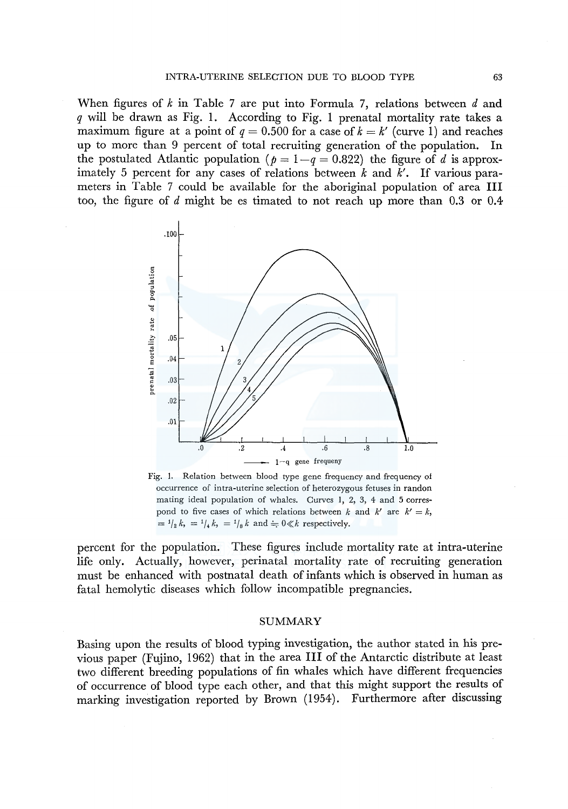When figures of *k* in Table 7 are put into Formula 7, relations between *d* and *q* will be drawn as Fig. 1. According to Fig. I prenatal mortality rate takes a maximum figure at a point of  $q = 0.500$  for a case of  $k = k'$  (curve 1) and reaches up to more than 9 percent of total recruiting generation of the population. In the postulated Atlantic population ( $p = 1-q = 0.822$ ) the figure of d is approximately 5 percent for any cases of relations between  $k$  and  $k'$ . If various parameters in Table 7 could be available for the aboriginal population of area III too, the figure of d might be es timated to not reach up more than 0.3 or 0.4



Fig. I. Relation between blood type gene frequency and frequency of occurrence of intra-uterine selection of heterozygous fetuses in randon mating ideal population of whales. Curves 1, 2, 3, 4 and 5 correspond to five cases of which relations between *k* and  $k'$  are  $k' = k$ ,  $=$   $\frac{1}{2}k$ ,  $=$   $\frac{1}{4}k$ ,  $=$   $\frac{1}{8}k$  and  $\frac{1}{2}0 \ll k$  respectively.

percent for the population. These figures include mortality rate at intra-uterine life only. Actually, however, perinatal mortality rate of recruiting generation must be enhanced with postnatal death of infants which is observed in human as fatal hemolytic diseases which follow incompatible pregnancies.

## SUMMARY

Basing upon the results of blood typing investigation, the author stated in his previous paper (Fujino, 1962) that in the area III of the Antarctic distribute at least two different breeding populations of fin whales which have different frequencies of occurrence of blood type each other, and that this might support the results of marking investigation reported by Brown (1954). Furthermore after discussing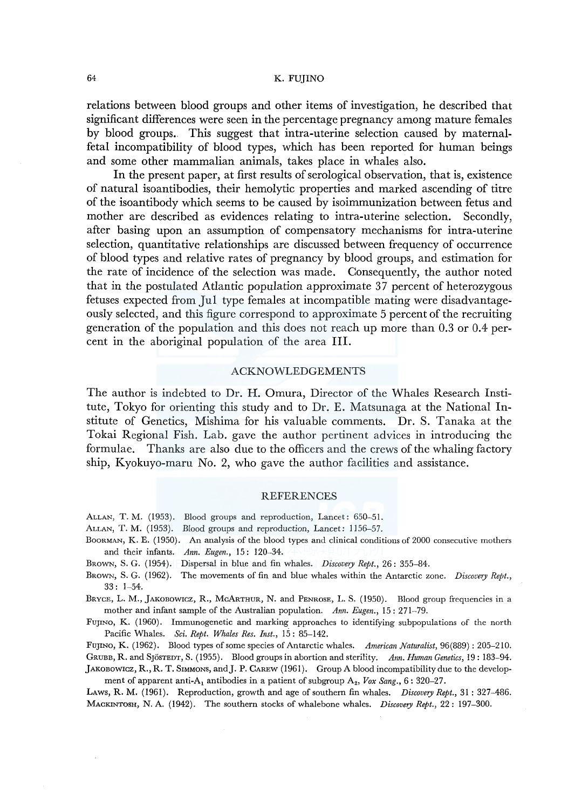relations between blood groups and other items of investigation, he described that significant differences were seen in the percentage pregnancy among mature females by blood groups. This suggest that intra-uterine selection caused by maternalfetal incompatibility of blood types, which has been reported for human beings and some other mammalian animals, takes place in whales also.

In the present paper, at first results of serological observation, that is, existence of natural isoantibodies, their hemolytic properties and marked ascending of titre of the isoantibody which seems to be caused by isoimmunization between fetus and mother are described as evidences relating to intra-uterine selection. Secondly, after basing upon an assumption of compensatory mechanisms for intra-uterine selection, quantitative relationships are discussed between frequency of occurrence of blood types and relative rates of pregnancy by blood groups, and estimation for the rate of incidence of the selection was made. Consequently, the author noted that in the postulated Atlantic population approximate 37 percent of heterozygous fetuses expected from Jui type females at incompatible mating were disadvantageously selected, and this figure correspond to approximate 5 percent of the recruiting generation of the population and this does not reach up more than 0.3 or 0.4 percent in the aboriginal population of the area III.

# ACKNOWLEDGEMENTS

The author is indebted to Dr. H. Omura, Director of the Whales Research Institute, Tokyo for orienting this study and to Dr. E. Matsunaga at the National Institute of Genetics, Mishima for his valuable comments. Dr. S. Tanaka at the Tokai Regional Fish. Lab. gave the author pertinent advices in introducing the formulae. Thanks are also due to the officers and the crews of the whaling factory ship, Kyokuyo-maru No. 2, who gave the author facilities and assistance.

## REFERENCES

ALLAN, T. M. (1953). Blood groups and reproduction, Lancet: 650-51.

- ALLAN, T. M. (1953). Blood groups and reproduction, Lancet: 1156-57.
- BOORMAN, K. E. (1950). An analysis of the blood types and clinical conditions of 2000 consecutive mothers and their infants. *Ann. Eugen.,* 15: 120-34.
- BROWN, S. G. (1954). Dispersal in blue and fin whales. *Discovery Rept.,* 26: 355-84.
- BROWN, S. G. (1962). The movements of fin and blue whales within the Antarctic zone. *Discovery Rept.,*  33: 1-54.
- BRYCE, L. M., JAKOBOWICZ, R., McARTHUR, N. and PENROSE, L. S. (1950). Blood group frequencies in a mother and infant sample of the Australian population. *Ann. Eugen.,* 15: 271-79.

FUJINO, K. (1960). Immunogenetic and marking approaches to identifying subpopulations of the north Pacific Whales. *Sci. Rept. Whales Res. Inst.*, 15: 85-142.

FUJINO, K. (1962). Blood types of some species of Antarctic whales. *American Naturalist,* 96(889): 205-210. GRUBB, R. and SjösTEDT, S. (1955). Blood groups in abortion and sterility. Ann. Human Genetics, 19: 183-94.

jAKOBOWicz, R., R. T. SIMMONS, andJ. P. CAREW (1961). Group A blood incompatibility due to the development of apparent anti-A<sub>1</sub> antibodies in a patient of subgroup A<sub>2</sub>, *Vox Sang.*, 6: 320–27.

LAws, R. M. (1961). Reproduction, growth and age of southern fin whales. *Discovery Rept.,* 31: 327-486. MACKINTOSH, N. A. (1942). The southern stocks of whalebone whales. *Discovery Rept.,* 22: 197-300.